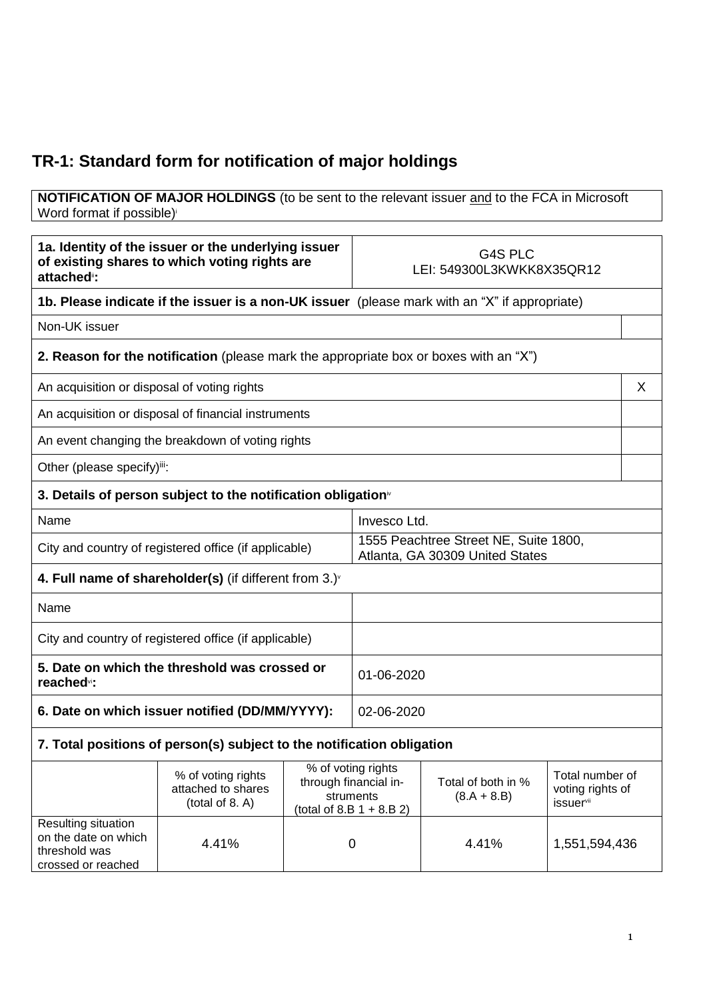## **TR-1: Standard form for notification of major holdings**

## **NOTIFICATION OF MAJOR HOLDINGS** (to be sent to the relevant issuer and to the FCA in Microsoft Word format if possible)

| 1a. Identity of the issuer or the underlying issuer<br>of existing shares to which voting rights are<br>attached <sup>®</sup> : |                                                                                              | G4S PLC<br>LEI: 549300L3KWKK8X35QR12                                     |                                                                                         |                                     |                                                                     |   |
|---------------------------------------------------------------------------------------------------------------------------------|----------------------------------------------------------------------------------------------|--------------------------------------------------------------------------|-----------------------------------------------------------------------------------------|-------------------------------------|---------------------------------------------------------------------|---|
| 1b. Please indicate if the issuer is a non-UK issuer (please mark with an "X" if appropriate)                                   |                                                                                              |                                                                          |                                                                                         |                                     |                                                                     |   |
| Non-UK issuer                                                                                                                   |                                                                                              |                                                                          |                                                                                         |                                     |                                                                     |   |
|                                                                                                                                 | <b>2. Reason for the notification</b> (please mark the appropriate box or boxes with an "X") |                                                                          |                                                                                         |                                     |                                                                     |   |
| An acquisition or disposal of voting rights                                                                                     |                                                                                              |                                                                          |                                                                                         |                                     |                                                                     | X |
|                                                                                                                                 | An acquisition or disposal of financial instruments                                          |                                                                          |                                                                                         |                                     |                                                                     |   |
|                                                                                                                                 | An event changing the breakdown of voting rights                                             |                                                                          |                                                                                         |                                     |                                                                     |   |
| Other (please specify)iii:                                                                                                      |                                                                                              |                                                                          |                                                                                         |                                     |                                                                     |   |
|                                                                                                                                 | 3. Details of person subject to the notification obligation <sup>®</sup>                     |                                                                          |                                                                                         |                                     |                                                                     |   |
| Name                                                                                                                            |                                                                                              |                                                                          | Invesco Ltd.                                                                            |                                     |                                                                     |   |
| City and country of registered office (if applicable)                                                                           |                                                                                              | 1555 Peachtree Street NE, Suite 1800,<br>Atlanta, GA 30309 United States |                                                                                         |                                     |                                                                     |   |
| 4. Full name of shareholder(s) (if different from $3.$ ) $\sqrt{ }$                                                             |                                                                                              |                                                                          |                                                                                         |                                     |                                                                     |   |
| Name                                                                                                                            |                                                                                              |                                                                          |                                                                                         |                                     |                                                                     |   |
| City and country of registered office (if applicable)                                                                           |                                                                                              |                                                                          |                                                                                         |                                     |                                                                     |   |
| 5. Date on which the threshold was crossed or<br>reached <sup>vi</sup> :                                                        |                                                                                              |                                                                          | 01-06-2020                                                                              |                                     |                                                                     |   |
| 6. Date on which issuer notified (DD/MM/YYYY):                                                                                  |                                                                                              | 02-06-2020                                                               |                                                                                         |                                     |                                                                     |   |
| 7. Total positions of person(s) subject to the notification obligation                                                          |                                                                                              |                                                                          |                                                                                         |                                     |                                                                     |   |
|                                                                                                                                 | % of voting rights<br>attached to shares<br>(total of 8. A)                                  |                                                                          | % of voting rights<br>through financial in-<br>struments<br>(total of 8.B $1 + 8.B 2$ ) | Total of both in %<br>$(8.A + 8.B)$ | Total number of<br>voting rights of<br><i>issuer</i> <sup>vii</sup> |   |
| Resulting situation<br>on the date on which<br>threshold was<br>crossed or reached                                              | 4.41%                                                                                        |                                                                          | 0                                                                                       | 4.41%                               | 1,551,594,436                                                       |   |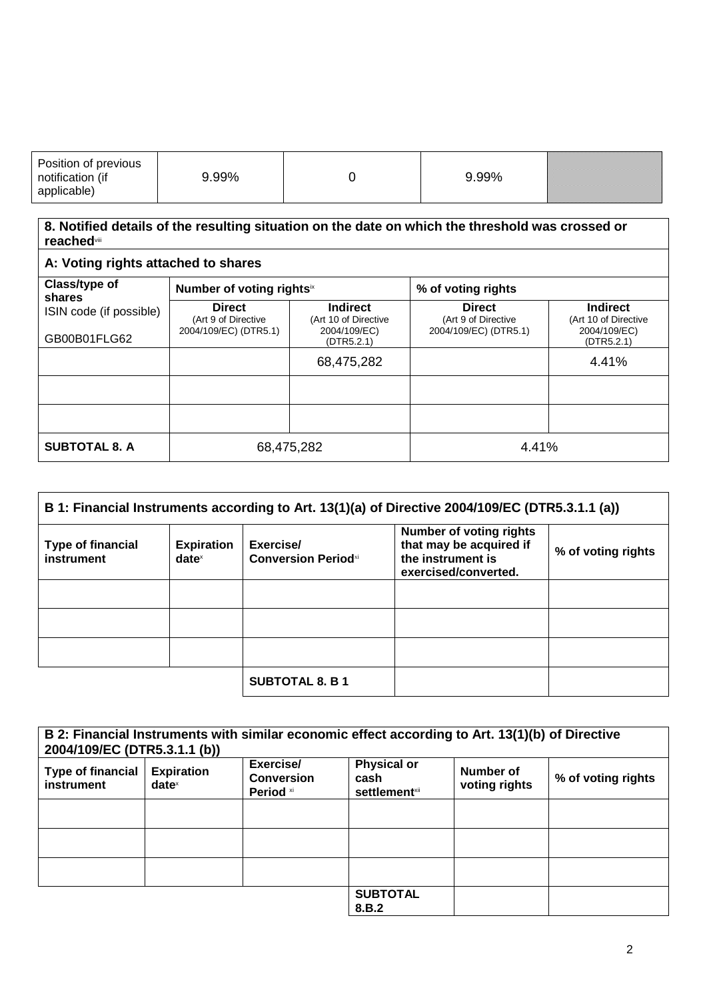| Position of previous<br>notification<br>(if | 99% | 99% |  |
|---------------------------------------------|-----|-----|--|
| annlicahle)                                 |     |     |  |

## **8. Notified details of the resulting situation on the date on which the threshold was crossed or reached**viii

| A: Voting rights attached to shares |                                                               |                                                         |                                                               |                                                         |
|-------------------------------------|---------------------------------------------------------------|---------------------------------------------------------|---------------------------------------------------------------|---------------------------------------------------------|
| Class/type of<br>shares             | Number of voting rightsix                                     |                                                         | % of voting rights                                            |                                                         |
| ISIN code (if possible)             | <b>Direct</b><br>(Art 9 of Directive<br>2004/109/EC) (DTR5.1) | <b>Indirect</b><br>(Art 10 of Directive<br>2004/109/EC) | <b>Direct</b><br>(Art 9 of Directive<br>2004/109/EC) (DTR5.1) | <b>Indirect</b><br>(Art 10 of Directive<br>2004/109/EC) |
| GB00B01FLG62                        |                                                               | (DTR5.2.1)                                              |                                                               | (DTR5.2.1)                                              |
|                                     |                                                               | 68,475,282                                              |                                                               | 4.41%                                                   |
|                                     |                                                               |                                                         |                                                               |                                                         |
|                                     |                                                               |                                                         |                                                               |                                                         |
| <b>SUBTOTAL 8. A</b>                | 68,475,282                                                    |                                                         | 4.41%                                                         |                                                         |

| B 1: Financial Instruments according to Art. 13(1)(a) of Directive 2004/109/EC (DTR5.3.1.1 (a)) |                               |                                         |                                                                                                        |                    |
|-------------------------------------------------------------------------------------------------|-------------------------------|-----------------------------------------|--------------------------------------------------------------------------------------------------------|--------------------|
| <b>Type of financial</b><br>instrument                                                          | <b>Expiration</b><br>$date^x$ | Exercise/<br><b>Conversion Periodxi</b> | <b>Number of voting rights</b><br>that may be acquired if<br>the instrument is<br>exercised/converted. | % of voting rights |
|                                                                                                 |                               |                                         |                                                                                                        |                    |
|                                                                                                 |                               |                                         |                                                                                                        |                    |
|                                                                                                 |                               |                                         |                                                                                                        |                    |
|                                                                                                 |                               | <b>SUBTOTAL 8. B 1</b>                  |                                                                                                        |                    |

| B 2: Financial Instruments with similar economic effect according to Art. 13(1)(b) of Directive<br>2004/109/EC (DTR5.3.1.1 (b)) |                                        |                                             |                                                                |                            |                    |
|---------------------------------------------------------------------------------------------------------------------------------|----------------------------------------|---------------------------------------------|----------------------------------------------------------------|----------------------------|--------------------|
| <b>Type of financial</b><br>instrument                                                                                          | <b>Expiration</b><br>date <sup>x</sup> | Exercise/<br><b>Conversion</b><br>Period xi | <b>Physical or</b><br>cash<br><b>settlement</b> <sup>xii</sup> | Number of<br>voting rights | % of voting rights |
|                                                                                                                                 |                                        |                                             |                                                                |                            |                    |
|                                                                                                                                 |                                        |                                             |                                                                |                            |                    |
|                                                                                                                                 |                                        |                                             |                                                                |                            |                    |
|                                                                                                                                 |                                        |                                             | <b>SUBTOTAL</b><br>8.B.2                                       |                            |                    |